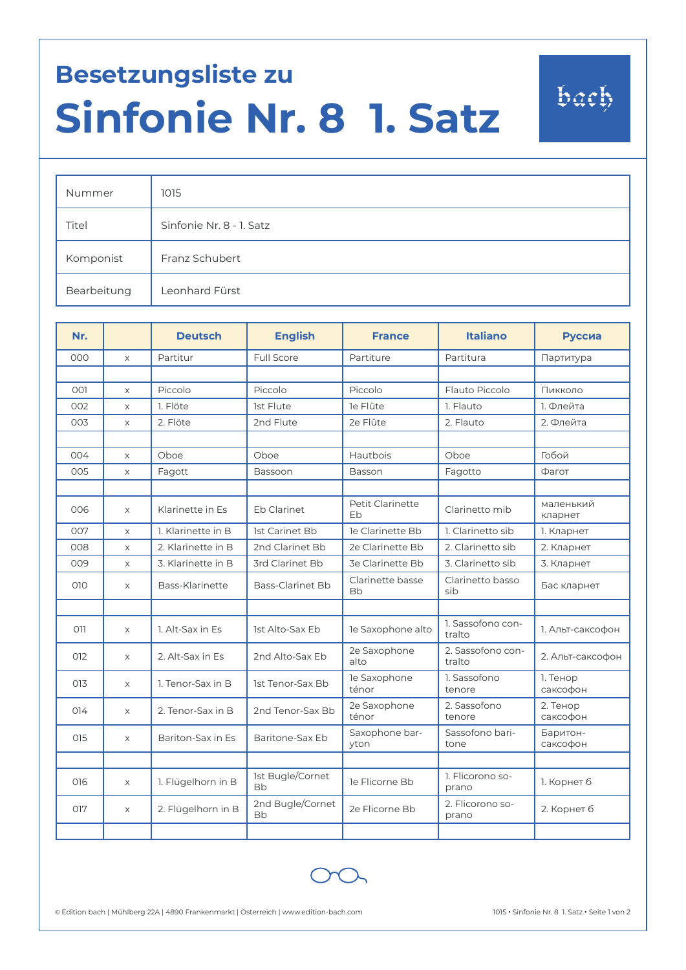## **Besetzungsliste zu Sinfonie Nr. 8 1. Satz**

| Nummer      | 1015                     |
|-------------|--------------------------|
| Titel       | Sinfonie Nr. 8 - 1. Satz |
| Komponist   | Franz Schubert           |
| Bearbeitung | Leonhard Fürst           |

| Nr. |                       | <b>Deutsch</b>     | <b>English</b>                | <b>France</b>           | <b>Italiano</b>             | Руссиа               |
|-----|-----------------------|--------------------|-------------------------------|-------------------------|-----------------------------|----------------------|
| 000 | $\times$              | Partitur           | Full Score                    | Partiture               | Partitura                   | Партитура            |
|     |                       |                    |                               |                         |                             |                      |
| 001 | $\times$              | Piccolo            | Piccolo                       | Piccolo                 | Flauto Piccolo              | Пикколо              |
| 002 | $\boldsymbol{\times}$ | 1. Flöte           | 1st Flute                     | le Flûte                | 1. Flauto                   | 1. Флейта            |
| 003 | $\times$              | 2. Flöte           | 2nd Flute                     | 2e Flûte                | 2. Flauto                   | 2. Флейта            |
|     |                       |                    |                               |                         |                             |                      |
| 004 | $\times$              | Oboe               | Oboe                          | Hautbois                | Oboe                        | Гобой                |
| 005 | $\times$              | Fagott             | Bassoon                       | Basson                  | Fagotto                     | Фагот                |
|     |                       |                    |                               |                         |                             |                      |
| 006 | $\times$              | Klarinette in Es   | Eb Clarinet                   | Petit Clarinette<br>Eb  | Clarinetto mib              | маленький<br>кларнет |
| 007 | $\times$              | 1. Klarinette in B | 1st Carinet Bb                | le Clarinette Bb        | 1. Clarinetto sib           | 1. Кларнет           |
| 008 | $\boldsymbol{\times}$ | 2. Klarinette in B | 2nd Clarinet Bb               | 2e Clarinette Bb        | 2. Clarinetto sib           | 2. Кларнет           |
| 009 | $\boldsymbol{\times}$ | 3. Klarinette in B | 3rd Clarinet Bb               | <b>3e Clarinette Bb</b> | 3. Clarinetto sib           | 3. Кларнет           |
| 010 | $\times$              | Bass-Klarinette    | Bass-Clarinet Bb              | Clarinette basse<br>Bb  | Clarinetto basso<br>sib     | Бас кларнет          |
|     |                       |                    |                               |                         |                             |                      |
| 011 | $\times$              | 1. Alt-Sax in Es   | 1st Alto-Sax Eb               | le Saxophone alto       | 1. Sassofono con-<br>tralto | 1. Альт-саксофон     |
| 012 | $\times$              | 2. Alt-Sax in Es   | 2nd Alto-Sax Eb               | 2e Saxophone<br>alto    | 2. Sassofono con-<br>tralto | 2. Альт-саксофон     |
| 013 | X                     | 1. Tenor-Sax in B  | 1st Tenor-Sax Bb              | le Saxophone<br>ténor   | 1. Sassofono<br>tenore      | 1. Тенор<br>саксофон |
| 014 | $\times$              | 2. Tenor-Sax in B  | 2nd Tenor-Sax Bb              | 2e Saxophone<br>ténor   | 2. Sassofono<br>tenore      | 2. Тенор<br>саксофон |
| 015 | $\times$              | Bariton-Sax in Es  | Baritone-Sax Eb               | Saxophone bar-<br>yton  | Sassofono bari-<br>tone     | Баритон-<br>саксофон |
|     |                       |                    |                               |                         |                             |                      |
| 016 | X                     | 1. Flügelhorn in B | 1st Bugle/Cornet<br><b>Bb</b> | le Flicorne Bb          | 1. Flicorono so-<br>prano   | 1. Корнет б          |
| 017 | X                     | 2. Flügelhorn in B | 2nd Bugle/Cornet<br><b>Bb</b> | 2e Flicorne Bb          | 2. Flicorono so-<br>prano   | 2. Корнет б          |
|     |                       |                    |                               |                         |                             |                      |



bach